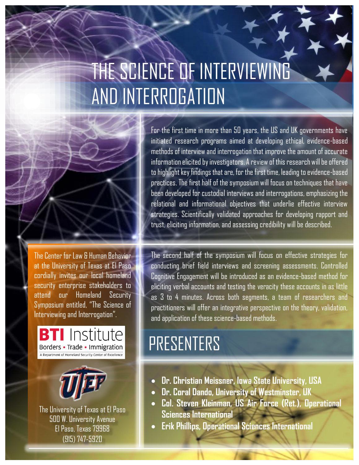# THE SCIENCE OF INTERVIEWING AND INTERROGATION

at the University of Texas at El Paso cordially invites our local homeland security enterprise stakeholders to attend our Homeland Security Symposium entitled, "The Science of Interviewing and Interrogation".

**BTI** Institute

Borders • Trade • Immigration A Department of Homeland Security Center of Excellence

The University of Texas at El Paso 500 W. University Avenue El Paso, Texas 79968 (915) 747-5920

The Center for Law & Human Behavior

initiated research programs aimed at developing ethical, evidence-based methods of interview and interrogation that improve the amount of accurate information elicited by investigators. A review of this research will be offered to highlight key findings that are, for the first time, leading to evidence-based practices. The first half of the symposium will focus on techniques that have been developed for custodial interviews and interrogations, emphasizing the relational and informational objectives that underlie effective interview strategies. Scientifically validated approaches for developing rapport and trust, eliciting information, and assessing credibility will be described.

For the first time in more than 50 years, the US and UK governments have

The second half of the symposium will focus on effective strategies for conducting brief field interviews and screening assessments. Controlled Cognitive Engagement will be introduced as an evidence-based method for eliciting verbal accounts and testing the veracity these accounts in as little as 3 to 4 minutes. Across both segments, a team of researchers and practitioners will offer an integrative perspective on the theory, validation, and application of these science-based methods.

# PRESENTERS

- **Dr. Christian Meissner, Iowa State University, USA**
- **Dr. Coral Dando, University of Westminster, UK**
- **Col. Steven Kleinman, US Air Force (Ret.), Operational Sciences International**
- **Erik Phillips, Operational Sciences International**